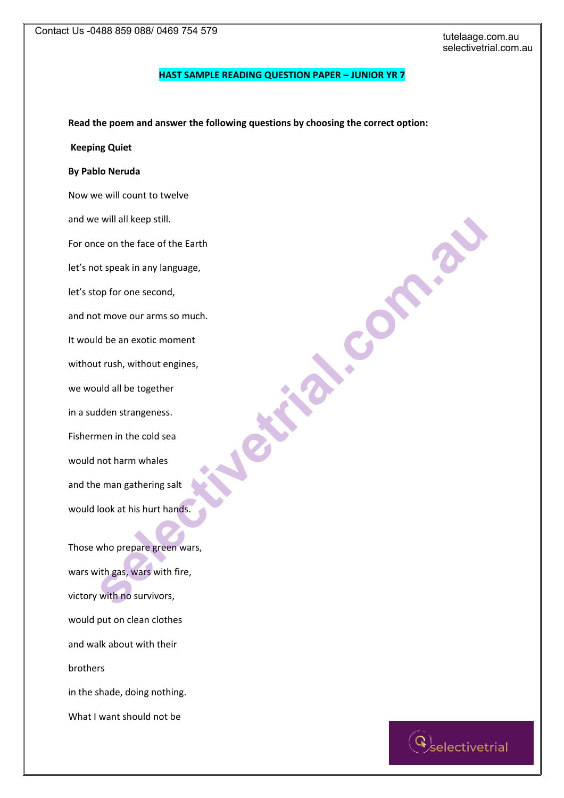### **HAST SAMPLE READING QUESTION PAPER – JUNIOR YR 7**

**Read the poem and answer the following questions by choosing the correct option:** 

#### **Keeping Quiet**

## **By Pablo Neruda**

Now we will count to twelve and we will all keep still. For once on the face of the Earth let's not speak in any language, let's stop for one second, and not move our arms so much. It would be an exotic moment without rush, without engines, we would all be together in a sudden strangeness. Fishermen in the cold sea would not harm whales and the man gathering salt would look at his hurt hands. will all keep still.<br>ce on the face of the Earth<br>ts peak in any language,<br>op for one second,<br>t move our arms so much.<br>the an exotic moment<br>de an exotic moment<br>den strangeness.<br>Media il be together<br>media in the cold sea<br>not

Those who prepare green wars, wars with gas, wars with fire, victory with no survivors, would put on clean clothes and walk about with their brothers in the shade, doing nothing.

What I want should not be

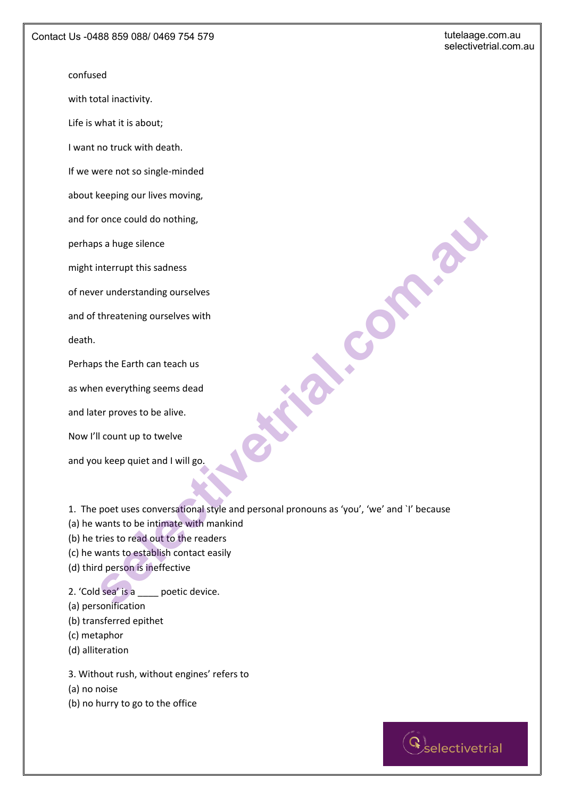### confused

with total inactivity.

Life is what it is about;

I want no truck with death.

If we were not so single-minded

about keeping our lives moving,

and for once could do nothing,

perhaps a huge silence

might interrupt this sadness

of never understanding ourselves

and of threatening ourselves with

death.

Perhaps the Earth can teach us

as when everything seems dead

and later proves to be alive.

Now I'll count up to twelve

and you keep quiet and I will go.

1. The poet uses conversational style and personal pronouns as 'you', 'we' and `I' because For once could do nothing,<br>
se a huge silence<br>
Interrupt this sadness<br>
for understanding ourselves with<br>
state Earth can teach us<br>
Interventing seems dead<br>
or proves to be alive.<br>
Il count up to twelve<br>
u keep quiet and I

(a) he wants to be intimate with mankind

- (b) he tries to read out to the readers
- (c) he wants to establish contact easily
- (d) third person is ineffective

2. 'Cold sea' is a \_\_\_\_ poetic device.

- (a) personification
- (b) transferred epithet
- (c) metaphor
- (d) alliteration

3. Without rush, without engines' refers to

(a) no noise

(b) no hurry to go to the office